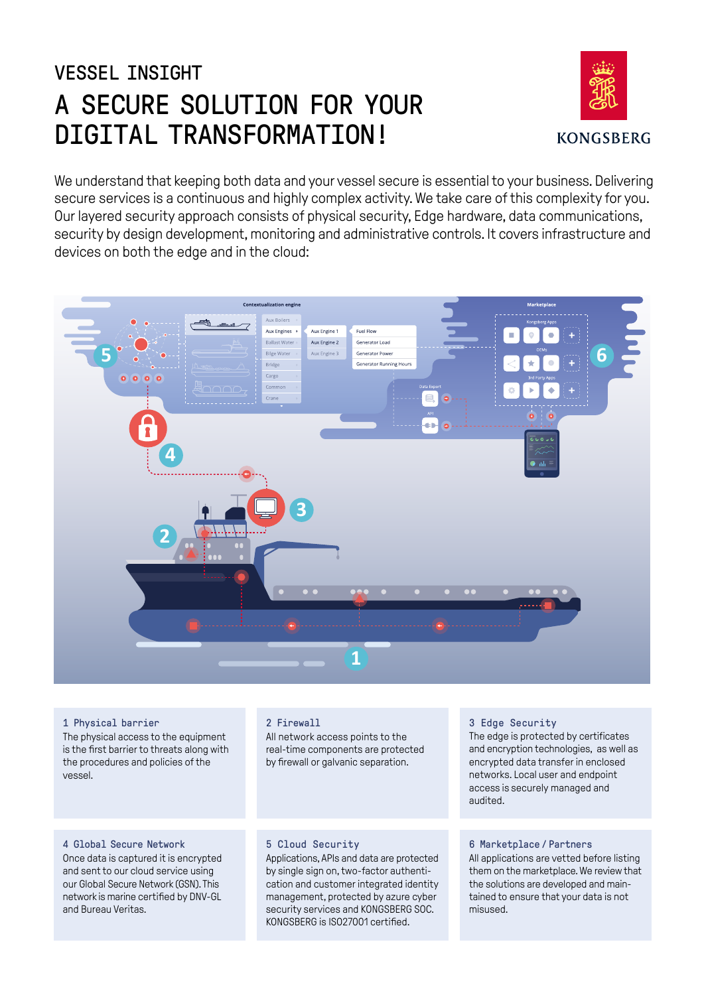# VESSEL INSIGHT A SECURE SOLUTION FOR YOUR DIGITAL TRANSFORMATION!



We understand that keeping both data and your vessel secure is essential to your business. Delivering secure services is a continuous and highly complex activity. We take care of this complexity for you. Our layered security approach consists of physical security, Edge hardware, data communications, security by design development, monitoring and administrative controls. It covers infrastructure and devices on both the edge and in the cloud:



## 1 Physical barrier

The physical access to the equipment is the first barrier to threats along with the procedures and policies of the vessel.

## 2 Firewall

All network access points to the real-time components are protected by firewall or galvanic separation.

## 4 Global Secure Network

Once data is captured it is encrypted and sent to our cloud service using our Global Secure Network (GSN). This network is marine certified by DNV-GL and Bureau Veritas.

## 5 Cloud Security

Applications, APIs and data are protected by single sign on, two-factor authentication and customer integrated identity management, protected by azure cyber security services and KONGSBERG SOC. KONGSBERG is ISO27001 certified.

## 3 Edge Security

The edge is protected by certificates and encryption technologies, as well as encrypted data transfer in enclosed networks. Local user and endpoint access is securely managed and audited.

## 6 Marketplace / Partners

All applications are vetted before listing them on the marketplace. We review that the solutions are developed and maintained to ensure that your data is not misused.